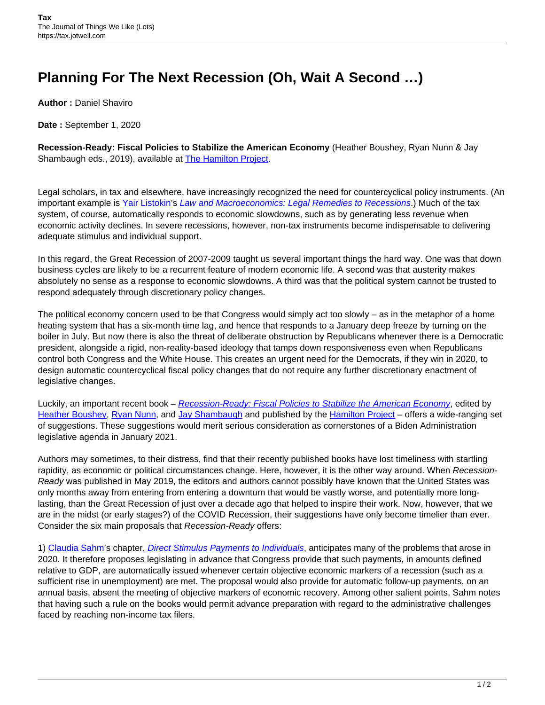## **Planning For The Next Recession (Oh, Wait A Second …)**

**Author :** Daniel Shaviro

**Date :** September 1, 2020

**Recession-Ready: Fiscal Policies to Stabilize the American Economy** (Heather Boushey, Ryan Nunn & Jay Shambaugh eds., 2019), available at **The Hamilton Project**.

Legal scholars, in tax and elsewhere, have increasingly recognized the need for countercyclical policy instruments. (An important example is [Yair Listokin](https://law.yale.edu/yair-listokin)'s [Law and Macroeconomics: Legal Remedies to Recessions](https://books.google.com/books/about/Law_and_Macroeconomics.html?id=Nap5tgEACAAJ).) Much of the tax system, of course, automatically responds to economic slowdowns, such as by generating less revenue when economic activity declines. In severe recessions, however, non-tax instruments become indispensable to delivering adequate stimulus and individual support.

In this regard, the Great Recession of 2007-2009 taught us several important things the hard way. One was that down business cycles are likely to be a recurrent feature of modern economic life. A second was that austerity makes absolutely no sense as a response to economic slowdowns. A third was that the political system cannot be trusted to respond adequately through discretionary policy changes.

The political economy concern used to be that Congress would simply act too slowly – as in the metaphor of a home heating system that has a six-month time lag, and hence that responds to a January deep freeze by turning on the boiler in July. But now there is also the threat of deliberate obstruction by Republicans whenever there is a Democratic president, alongside a rigid, non-reality-based ideology that tamps down responsiveness even when Republicans control both Congress and the White House. This creates an urgent need for the Democrats, if they win in 2020, to design automatic countercyclical fiscal policy changes that do not require any further discretionary enactment of legislative changes.

Luckily, an important recent book – [Recession-Ready: Fiscal Policies to Stabilize the American Economy](https://www.hamiltonproject.org/papers/recession_ready_fiscal_policies_to_stabilize_the_american_economy), edited by [Heather Boushey,](https://equitablegrowth.org/people/heather-boushey/) [Ryan Nunn](https://www.minneapolisfed.org/people/ryan-nunn), and [Jay Shambaugh](https://elliott.gwu.edu/jay-shambaugh) and published by the [Hamilton Project](https://www.hamiltonproject.org/papers/recession_ready_fiscal_policies_to_stabilize_the_american_economy) - offers a wide-ranging set of suggestions. These suggestions would merit serious consideration as cornerstones of a Biden Administration legislative agenda in January 2021.

Authors may sometimes, to their distress, find that their recently published books have lost timeliness with startling rapidity, as economic or political circumstances change. Here, however, it is the other way around. When Recession-Ready was published in May 2019, the editors and authors cannot possibly have known that the United States was only months away from entering from entering a downturn that would be vastly worse, and potentially more longlasting, than the Great Recession of just over a decade ago that helped to inspire their work. Now, however, that we are in the midst (or early stages?) of the COVID Recession, their suggestions have only become timelier than ever. Consider the six main proposals that Recession-Ready offers:

1) [Claudia Sahm'](https://equitablegrowth.org/people/claudia-sahm/)s chapter, [Direct Stimulus Payments to Individuals](https://www.hamiltonproject.org/papers/direct_stimulus_payments_to_individuals), anticipates many of the problems that arose in 2020. It therefore proposes legislating in advance that Congress provide that such payments, in amounts defined relative to GDP, are automatically issued whenever certain objective economic markers of a recession (such as a sufficient rise in unemployment) are met. The proposal would also provide for automatic follow-up payments, on an annual basis, absent the meeting of objective markers of economic recovery. Among other salient points, Sahm notes that having such a rule on the books would permit advance preparation with regard to the administrative challenges faced by reaching non-income tax filers.